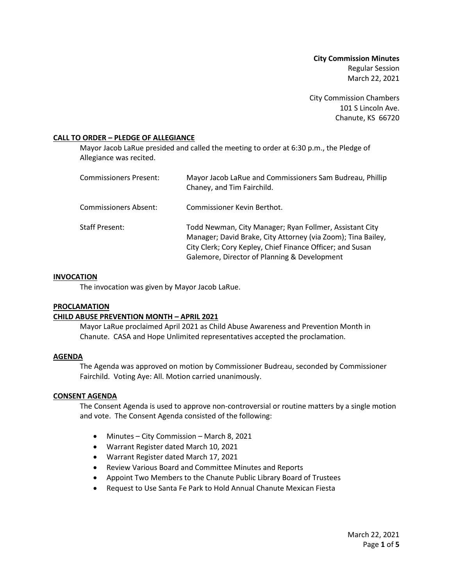**City Commission Minutes** Regular Session March 22, 2021

City Commission Chambers 101 S Lincoln Ave. Chanute, KS 66720

## **CALL TO ORDER – PLEDGE OF ALLEGIANCE**

Mayor Jacob LaRue presided and called the meeting to order at 6:30 p.m., the Pledge of Allegiance was recited.

| Commissioners Present: | Mayor Jacob LaRue and Commissioners Sam Budreau, Phillip<br>Chaney, and Tim Fairchild.                                                                                                                                               |
|------------------------|--------------------------------------------------------------------------------------------------------------------------------------------------------------------------------------------------------------------------------------|
| Commissioners Absent:  | Commissioner Kevin Berthot.                                                                                                                                                                                                          |
| Staff Present:         | Todd Newman, City Manager; Ryan Follmer, Assistant City<br>Manager; David Brake, City Attorney (via Zoom); Tina Bailey,<br>City Clerk; Cory Kepley, Chief Finance Officer; and Susan<br>Galemore, Director of Planning & Development |

## **INVOCATION**

The invocation was given by Mayor Jacob LaRue.

## **PROCLAMATION**

## **CHILD ABUSE PREVENTION MONTH – APRIL 2021**

Mayor LaRue proclaimed April 2021 as Child Abuse Awareness and Prevention Month in Chanute. CASA and Hope Unlimited representatives accepted the proclamation.

## **AGENDA**

The Agenda was approved on motion by Commissioner Budreau, seconded by Commissioner Fairchild. Voting Aye: All. Motion carried unanimously.

## **CONSENT AGENDA**

The Consent Agenda is used to approve non-controversial or routine matters by a single motion and vote. The Consent Agenda consisted of the following:

- Minutes City Commission March 8, 2021
- Warrant Register dated March 10, 2021
- Warrant Register dated March 17, 2021
- Review Various Board and Committee Minutes and Reports
- Appoint Two Members to the Chanute Public Library Board of Trustees
- Request to Use Santa Fe Park to Hold Annual Chanute Mexican Fiesta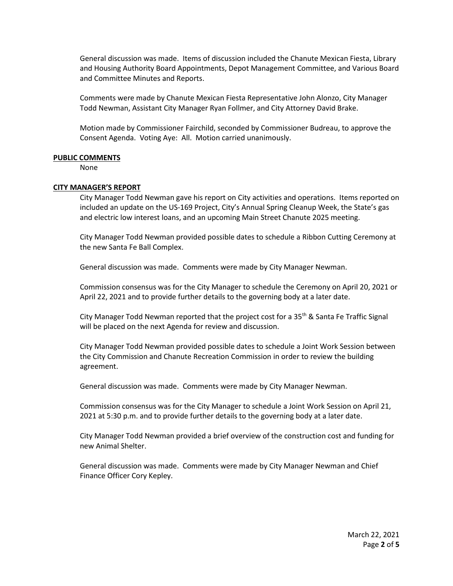General discussion was made. Items of discussion included the Chanute Mexican Fiesta, Library and Housing Authority Board Appointments, Depot Management Committee, and Various Board and Committee Minutes and Reports.

Comments were made by Chanute Mexican Fiesta Representative John Alonzo, City Manager Todd Newman, Assistant City Manager Ryan Follmer, and City Attorney David Brake.

Motion made by Commissioner Fairchild, seconded by Commissioner Budreau, to approve the Consent Agenda. Voting Aye: All. Motion carried unanimously.

#### **PUBLIC COMMENTS**

None

## **CITY MANAGER'S REPORT**

City Manager Todd Newman gave his report on City activities and operations. Items reported on included an update on the US-169 Project, City's Annual Spring Cleanup Week, the State's gas and electric low interest loans, and an upcoming Main Street Chanute 2025 meeting.

City Manager Todd Newman provided possible dates to schedule a Ribbon Cutting Ceremony at the new Santa Fe Ball Complex.

General discussion was made. Comments were made by City Manager Newman.

Commission consensus was for the City Manager to schedule the Ceremony on April 20, 2021 or April 22, 2021 and to provide further details to the governing body at a later date.

City Manager Todd Newman reported that the project cost for a  $35<sup>th</sup>$  & Santa Fe Traffic Signal will be placed on the next Agenda for review and discussion.

City Manager Todd Newman provided possible dates to schedule a Joint Work Session between the City Commission and Chanute Recreation Commission in order to review the building agreement.

General discussion was made. Comments were made by City Manager Newman.

Commission consensus was for the City Manager to schedule a Joint Work Session on April 21, 2021 at 5:30 p.m. and to provide further details to the governing body at a later date.

City Manager Todd Newman provided a brief overview of the construction cost and funding for new Animal Shelter.

General discussion was made. Comments were made by City Manager Newman and Chief Finance Officer Cory Kepley.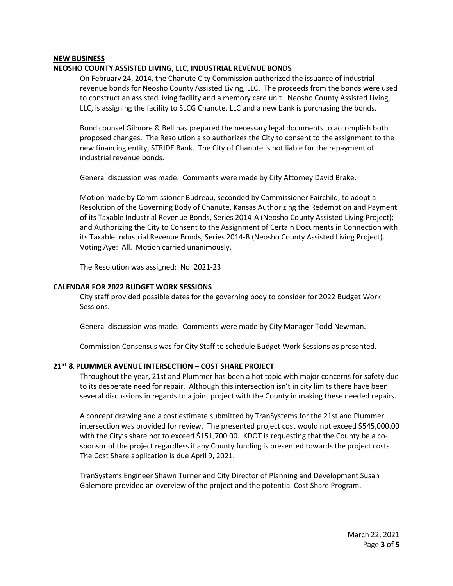## **NEW BUSINESS NEOSHO COUNTY ASSISTED LIVING, LLC, INDUSTRIAL REVENUE BONDS**

On February 24, 2014, the Chanute City Commission authorized the issuance of industrial revenue bonds for Neosho County Assisted Living, LLC. The proceeds from the bonds were used to construct an assisted living facility and a memory care unit. Neosho County Assisted Living, LLC, is assigning the facility to SLCG Chanute, LLC and a new bank is purchasing the bonds.

Bond counsel Gilmore & Bell has prepared the necessary legal documents to accomplish both proposed changes. The Resolution also authorizes the City to consent to the assignment to the new financing entity, STRIDE Bank. The City of Chanute is not liable for the repayment of industrial revenue bonds.

General discussion was made. Comments were made by City Attorney David Brake.

Motion made by Commissioner Budreau, seconded by Commissioner Fairchild, to adopt a Resolution of the Governing Body of Chanute, Kansas Authorizing the Redemption and Payment of its Taxable Industrial Revenue Bonds, Series 2014-A (Neosho County Assisted Living Project); and Authorizing the City to Consent to the Assignment of Certain Documents in Connection with its Taxable Industrial Revenue Bonds, Series 2014-B (Neosho County Assisted Living Project). Voting Aye: All. Motion carried unanimously.

The Resolution was assigned: No. 2021-23

## **CALENDAR FOR 2022 BUDGET WORK SESSIONS**

City staff provided possible dates for the governing body to consider for 2022 Budget Work Sessions.

General discussion was made. Comments were made by City Manager Todd Newman.

Commission Consensus was for City Staff to schedule Budget Work Sessions as presented.

## **21ST & PLUMMER AVENUE INTERSECTION – COST SHARE PROJECT**

Throughout the year, 21st and Plummer has been a hot topic with major concerns for safety due to its desperate need for repair. Although this intersection isn't in city limits there have been several discussions in regards to a joint project with the County in making these needed repairs.

A concept drawing and a cost estimate submitted by TranSystems for the 21st and Plummer intersection was provided for review. The presented project cost would not exceed \$545,000.00 with the City's share not to exceed \$151,700.00. KDOT is requesting that the County be a cosponsor of the project regardless if any County funding is presented towards the project costs. The Cost Share application is due April 9, 2021.

TranSystems Engineer Shawn Turner and City Director of Planning and Development Susan Galemore provided an overview of the project and the potential Cost Share Program.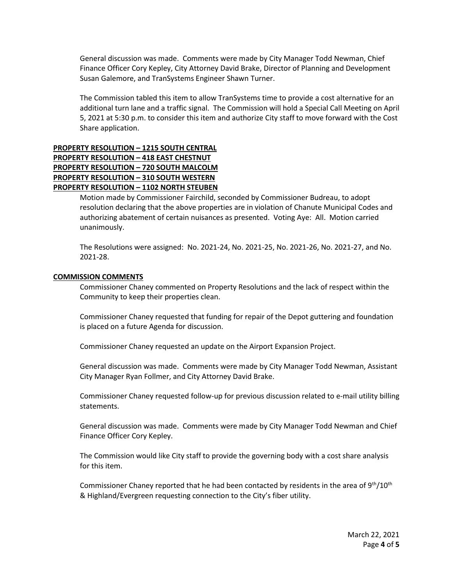General discussion was made. Comments were made by City Manager Todd Newman, Chief Finance Officer Cory Kepley, City Attorney David Brake, Director of Planning and Development Susan Galemore, and TranSystems Engineer Shawn Turner.

The Commission tabled this item to allow TranSystems time to provide a cost alternative for an additional turn lane and a traffic signal. The Commission will hold a Special Call Meeting on April 5, 2021 at 5:30 p.m. to consider this item and authorize City staff to move forward with the Cost Share application.

# **PROPERTY RESOLUTION – 1215 SOUTH CENTRAL PROPERTY RESOLUTION – 418 EAST CHESTNUT PROPERTY RESOLUTION – 720 SOUTH MALCOLM PROPERTY RESOLUTION – 310 SOUTH WESTERN PROPERTY RESOLUTION – 1102 NORTH STEUBEN**

Motion made by Commissioner Fairchild, seconded by Commissioner Budreau, to adopt resolution declaring that the above properties are in violation of Chanute Municipal Codes and authorizing abatement of certain nuisances as presented. Voting Aye: All. Motion carried unanimously.

The Resolutions were assigned: No. 2021-24, No. 2021-25, No. 2021-26, No. 2021-27, and No. 2021-28.

## **COMMISSION COMMENTS**

Commissioner Chaney commented on Property Resolutions and the lack of respect within the Community to keep their properties clean.

Commissioner Chaney requested that funding for repair of the Depot guttering and foundation is placed on a future Agenda for discussion.

Commissioner Chaney requested an update on the Airport Expansion Project.

General discussion was made. Comments were made by City Manager Todd Newman, Assistant City Manager Ryan Follmer, and City Attorney David Brake.

Commissioner Chaney requested follow-up for previous discussion related to e-mail utility billing statements.

General discussion was made. Comments were made by City Manager Todd Newman and Chief Finance Officer Cory Kepley.

The Commission would like City staff to provide the governing body with a cost share analysis for this item.

Commissioner Chaney reported that he had been contacted by residents in the area of  $9<sup>th</sup>/10<sup>th</sup>$ & Highland/Evergreen requesting connection to the City's fiber utility.